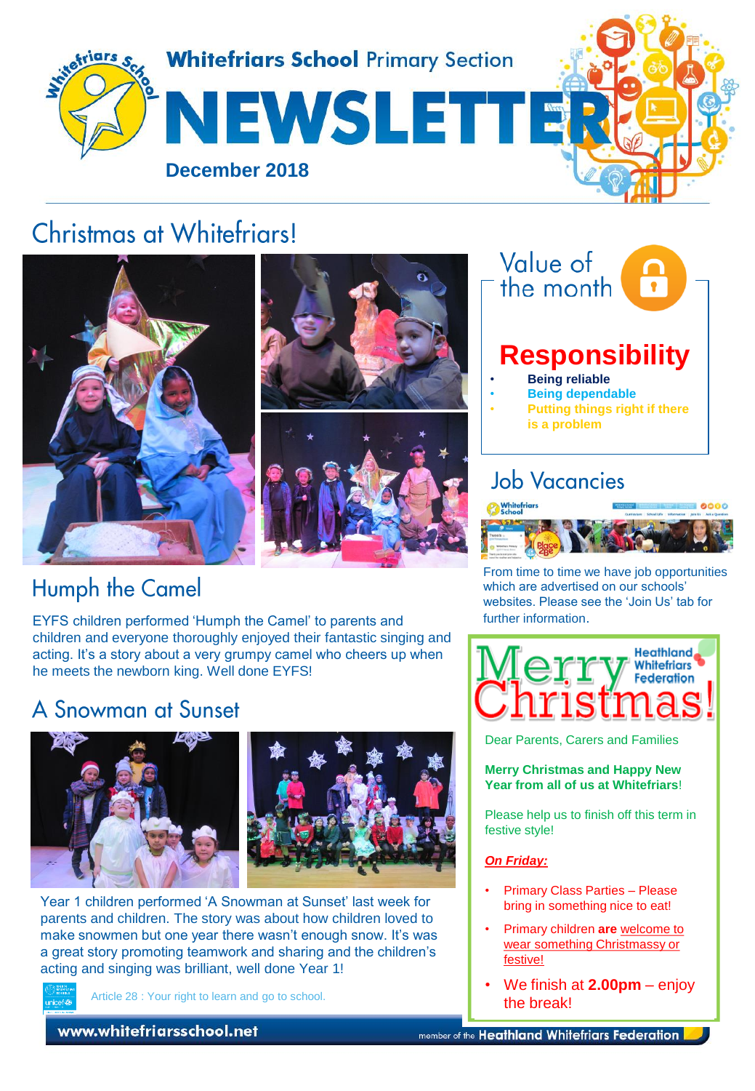

# Christmas at Whitefriars!







EYFS children performed 'Humph the Camel' to parents and children and everyone thoroughly enjoyed their fantastic singing and acting. It's a story about a very grumpy camel who cheers up when he meets the newborn king. Well done EYFS!

# A Snowman at Sunset



Year 1 children performed 'A Snowman at Sunset' last week for parents and children. The story was about how children loved to make snowmen but one year there wasn't enough snow. It's was a great story promoting teamwork and sharing and the children's acting and singing was brilliant, well done Year 1!



Article 28 : Your right to learn and go to school.



## **Job Vacancies**



From time to time we have job opportunities which are advertised on our schools' websites. Please see the 'Join Us' tab for further information.



Dear Parents, Carers and Families

#### **Merry Christmas and Happy New Year from all of us at Whitefriars**!

Please help us to finish off this term in festive style!

### *On Friday:*

- Primary Class Parties Please bring in something nice to eat!
- Primary children **are** welcome to wear something Christmassy or festive!
- We finish at **2.00pm** enjoy the break!

www.whitefriarsschool.net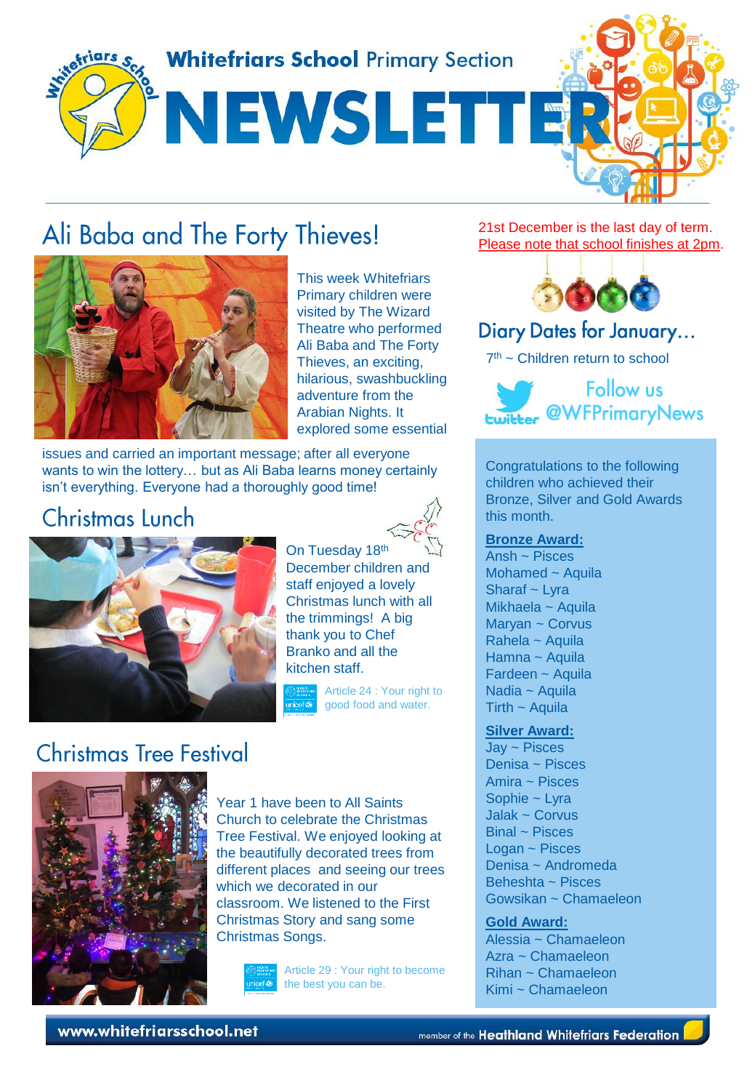

# Ali Baba and The Forty Thieves!



This week Whitefriars Primary children were visited by The Wizard Theatre who performed Ali Baba and The Forty Thieves, an exciting, hilarious, swashbuckling adventure from the Arabian Nights. It explored some essential

issues and carried an important message; after all everyone wants to win the lottery… but as Ali Baba learns money certainly isn't everything. Everyone had a thoroughly good time!

# Christmas Lunch



On Tuesday 18th December children and staff enjoyed a lovely Christmas lunch with all the trimmings! A big thank you to Chef Branko and all the kitchen staff.

Article 24 : Your right to good food and water.

# **Christmas Tree Festival**



Year 1 have been to All Saints Church to celebrate the Christmas Tree Festival. We enjoyed looking at the beautifully decorated trees from different places and seeing our trees which we decorated in our classroom. We listened to the First Christmas Story and sang some Christmas Songs.



Article 29 : Your right to become the best you can be.

21st December is the last day of term. Please note that school finishes at 2pm.



### Diary Dates for January...

7 th ~ Children return to school



Congratulations to the following children who achieved their Bronze, Silver and Gold Awards this month.

#### **Bronze Award:**

Ansh ~ Pisces Mohamed ~ Aquila Sharaf ~ Lyra Mikhaela ~ Aquila Maryan ~ Corvus Rahela ~ Aquila Hamna ~ Aquila Fardeen ~ Aquila Nadia ~ Aquila Tirth  $\sim$  Aquila

### **Silver Award:**

Jay ~ Pisces Denisa ~ Pisces Amira ~ Pisces Sophie ~ Lyra Jalak ~ Corvus Binal ~ Pisces Logan ~ Pisces Denisa ~ Andromeda Beheshta ~ Pisces Gowsikan ~ Chamaeleon

**Gold Award:**

Alessia ~ Chamaeleon Azra ~ Chamaeleon Rihan ~ Chamaeleon Kimi ~ Chamaeleon

www.whitefriarsschool.net